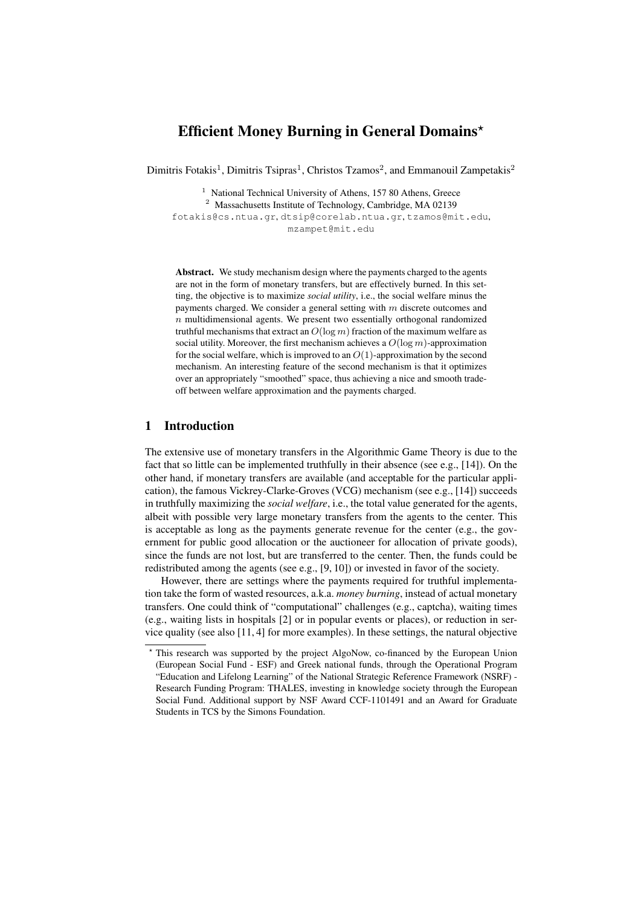# Efficient Money Burning in General Domains?

Dimitris Fotakis<sup>1</sup>, Dimitris Tsipras<sup>1</sup>, Christos Tzamos<sup>2</sup>, and Emmanouil Zampetakis<sup>2</sup>

<sup>1</sup> National Technical University of Athens, 157 80 Athens, Greece <sup>2</sup> Massachusetts Institute of Technology, Cambridge, MA 02139 fotakis@cs.ntua.gr, dtsip@corelab.ntua.gr, tzamos@mit.edu, mzampet@mit.edu

Abstract. We study mechanism design where the payments charged to the agents are not in the form of monetary transfers, but are effectively burned. In this setting, the objective is to maximize *social utility*, i.e., the social welfare minus the payments charged. We consider a general setting with  $m$  discrete outcomes and  $n$  multidimensional agents. We present two essentially orthogonal randomized truthful mechanisms that extract an  $O(\log m)$  fraction of the maximum welfare as social utility. Moreover, the first mechanism achieves a  $O(\log m)$ -approximation for the social welfare, which is improved to an  $O(1)$ -approximation by the second mechanism. An interesting feature of the second mechanism is that it optimizes over an appropriately "smoothed" space, thus achieving a nice and smooth tradeoff between welfare approximation and the payments charged.

# 1 Introduction

The extensive use of monetary transfers in the Algorithmic Game Theory is due to the fact that so little can be implemented truthfully in their absence (see e.g., [14]). On the other hand, if monetary transfers are available (and acceptable for the particular application), the famous Vickrey-Clarke-Groves (VCG) mechanism (see e.g., [14]) succeeds in truthfully maximizing the *social welfare*, i.e., the total value generated for the agents, albeit with possible very large monetary transfers from the agents to the center. This is acceptable as long as the payments generate revenue for the center (e.g., the government for public good allocation or the auctioneer for allocation of private goods), since the funds are not lost, but are transferred to the center. Then, the funds could be redistributed among the agents (see e.g., [9, 10]) or invested in favor of the society.

However, there are settings where the payments required for truthful implementation take the form of wasted resources, a.k.a. *money burning*, instead of actual monetary transfers. One could think of "computational" challenges (e.g., captcha), waiting times (e.g., waiting lists in hospitals [2] or in popular events or places), or reduction in service quality (see also [11, 4] for more examples). In these settings, the natural objective

<sup>?</sup> This research was supported by the project AlgoNow, co-financed by the European Union (European Social Fund - ESF) and Greek national funds, through the Operational Program "Education and Lifelong Learning" of the National Strategic Reference Framework (NSRF) - Research Funding Program: THALES, investing in knowledge society through the European Social Fund. Additional support by NSF Award CCF-1101491 and an Award for Graduate Students in TCS by the Simons Foundation.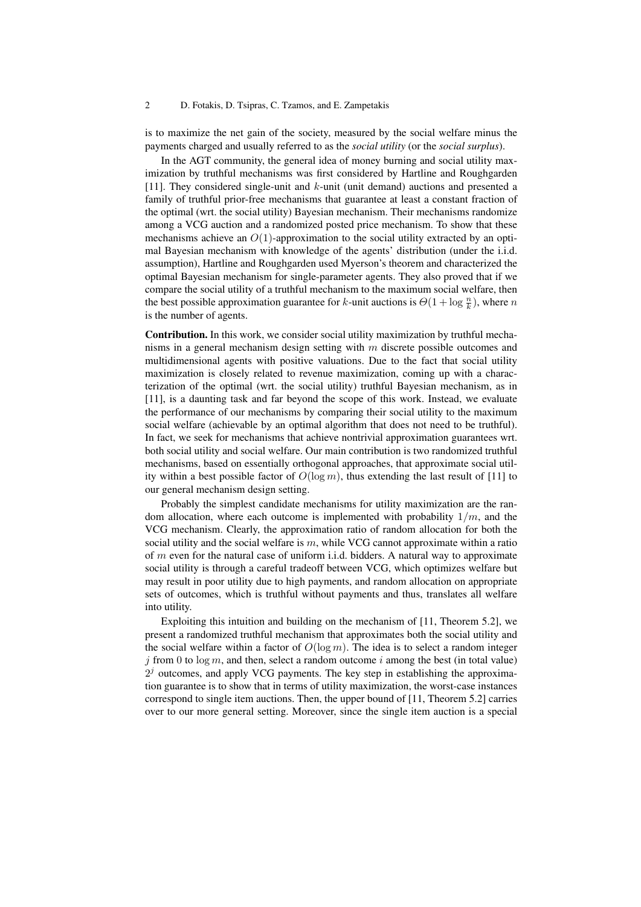is to maximize the net gain of the society, measured by the social welfare minus the payments charged and usually referred to as the *social utility* (or the *social surplus*).

In the AGT community, the general idea of money burning and social utility maximization by truthful mechanisms was first considered by Hartline and Roughgarden [11]. They considered single-unit and  $k$ -unit (unit demand) auctions and presented a family of truthful prior-free mechanisms that guarantee at least a constant fraction of the optimal (wrt. the social utility) Bayesian mechanism. Their mechanisms randomize among a VCG auction and a randomized posted price mechanism. To show that these mechanisms achieve an  $O(1)$ -approximation to the social utility extracted by an optimal Bayesian mechanism with knowledge of the agents' distribution (under the i.i.d. assumption), Hartline and Roughgarden used Myerson's theorem and characterized the optimal Bayesian mechanism for single-parameter agents. They also proved that if we compare the social utility of a truthful mechanism to the maximum social welfare, then the best possible approximation guarantee for k-unit auctions is  $\Theta(1 + \log \frac{n}{k})$ , where n is the number of agents.

Contribution. In this work, we consider social utility maximization by truthful mechanisms in a general mechanism design setting with  $m$  discrete possible outcomes and multidimensional agents with positive valuations. Due to the fact that social utility maximization is closely related to revenue maximization, coming up with a characterization of the optimal (wrt. the social utility) truthful Bayesian mechanism, as in [11], is a daunting task and far beyond the scope of this work. Instead, we evaluate the performance of our mechanisms by comparing their social utility to the maximum social welfare (achievable by an optimal algorithm that does not need to be truthful). In fact, we seek for mechanisms that achieve nontrivial approximation guarantees wrt. both social utility and social welfare. Our main contribution is two randomized truthful mechanisms, based on essentially orthogonal approaches, that approximate social utility within a best possible factor of  $O(\log m)$ , thus extending the last result of [11] to our general mechanism design setting.

Probably the simplest candidate mechanisms for utility maximization are the random allocation, where each outcome is implemented with probability  $1/m$ , and the VCG mechanism. Clearly, the approximation ratio of random allocation for both the social utility and the social welfare is  $m$ , while VCG cannot approximate within a ratio of  $m$  even for the natural case of uniform i.i.d. bidders. A natural way to approximate social utility is through a careful tradeoff between VCG, which optimizes welfare but may result in poor utility due to high payments, and random allocation on appropriate sets of outcomes, which is truthful without payments and thus, translates all welfare into utility.

Exploiting this intuition and building on the mechanism of [11, Theorem 5.2], we present a randomized truthful mechanism that approximates both the social utility and the social welfare within a factor of  $O(\log m)$ . The idea is to select a random integer j from 0 to  $\log m$ , and then, select a random outcome i among the best (in total value)  $2<sup>j</sup>$  outcomes, and apply VCG payments. The key step in establishing the approximation guarantee is to show that in terms of utility maximization, the worst-case instances correspond to single item auctions. Then, the upper bound of [11, Theorem 5.2] carries over to our more general setting. Moreover, since the single item auction is a special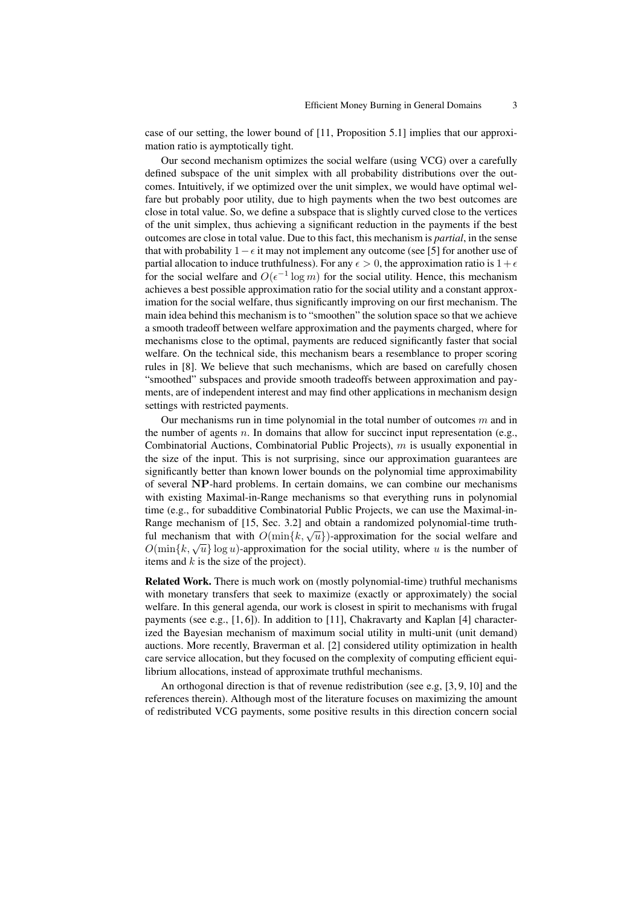case of our setting, the lower bound of [11, Proposition 5.1] implies that our approximation ratio is aymptotically tight.

Our second mechanism optimizes the social welfare (using VCG) over a carefully defined subspace of the unit simplex with all probability distributions over the outcomes. Intuitively, if we optimized over the unit simplex, we would have optimal welfare but probably poor utility, due to high payments when the two best outcomes are close in total value. So, we define a subspace that is slightly curved close to the vertices of the unit simplex, thus achieving a significant reduction in the payments if the best outcomes are close in total value. Due to this fact, this mechanism is *partial*, in the sense that with probability  $1-\epsilon$  it may not implement any outcome (see [5] for another use of partial allocation to induce truthfulness). For any  $\epsilon > 0$ , the approximation ratio is  $1+\epsilon$ for the social welfare and  $O(\epsilon^{-1} \log m)$  for the social utility. Hence, this mechanism achieves a best possible approximation ratio for the social utility and a constant approximation for the social welfare, thus significantly improving on our first mechanism. The main idea behind this mechanism is to "smoothen" the solution space so that we achieve a smooth tradeoff between welfare approximation and the payments charged, where for mechanisms close to the optimal, payments are reduced significantly faster that social welfare. On the technical side, this mechanism bears a resemblance to proper scoring rules in [8]. We believe that such mechanisms, which are based on carefully chosen "smoothed" subspaces and provide smooth tradeoffs between approximation and payments, are of independent interest and may find other applications in mechanism design settings with restricted payments.

Our mechanisms run in time polynomial in the total number of outcomes  $m$  and in the number of agents n. In domains that allow for succinct input representation (e.g., Combinatorial Auctions, Combinatorial Public Projects),  $m$  is usually exponential in the size of the input. This is not surprising, since our approximation guarantees are significantly better than known lower bounds on the polynomial time approximability of several NP-hard problems. In certain domains, we can combine our mechanisms with existing Maximal-in-Range mechanisms so that everything runs in polynomial time (e.g., for subadditive Combinatorial Public Projects, we can use the Maximal-in-Range mechanism of [15, Sec. 3.2] and obtain a randomized polynomial-time truth-Ful mechanism of [15, Sec. 5.2] and obtain a randomized porynomial-time trudi-<br>ful mechanism that with  $O(\min\{k, \sqrt{u}\})$ -approximation for the social welfare and O(min{k,  $\sqrt{u}$ } log u)-approximation for the social utility, where u is the number of items and  $k$  is the size of the project).

Related Work. There is much work on (mostly polynomial-time) truthful mechanisms with monetary transfers that seek to maximize (exactly or approximately) the social welfare. In this general agenda, our work is closest in spirit to mechanisms with frugal payments (see e.g.,  $[1, 6]$ ). In addition to  $[11]$ , Chakravarty and Kaplan  $[4]$  characterized the Bayesian mechanism of maximum social utility in multi-unit (unit demand) auctions. More recently, Braverman et al. [2] considered utility optimization in health care service allocation, but they focused on the complexity of computing efficient equilibrium allocations, instead of approximate truthful mechanisms.

An orthogonal direction is that of revenue redistribution (see e.g, [3, 9, 10] and the references therein). Although most of the literature focuses on maximizing the amount of redistributed VCG payments, some positive results in this direction concern social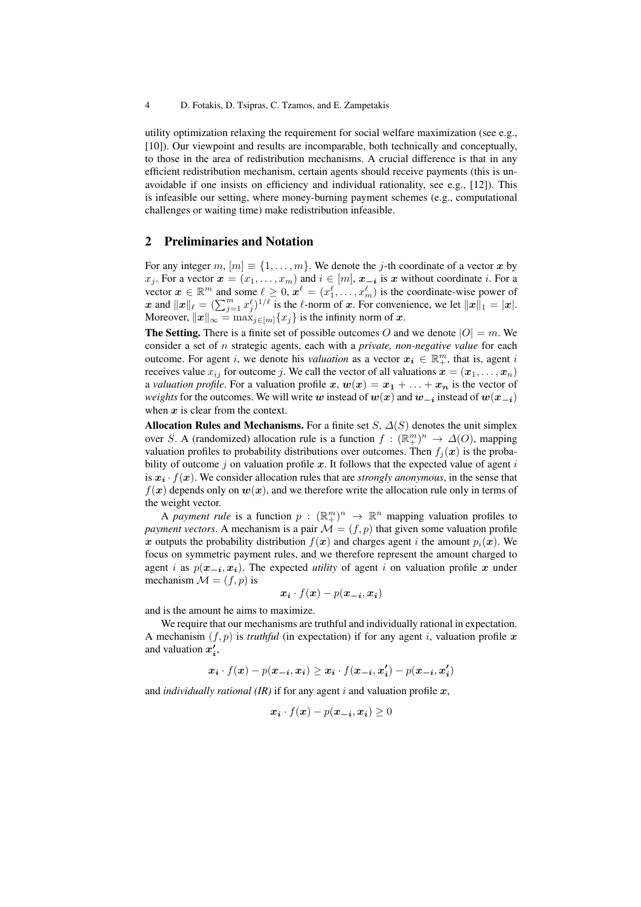utility optimization relaxing the requirement for social welfare maximization (see e.g., [10]). Our viewpoint and results are incomparable, both technically and conceptually, to those in the area of redistribution mechanisms. A crucial difference is that in any efficient redistribution mechanism, certain agents should receive payments (this is unavoidable if one insists on efficiency and individual rationality, see e.g., [12]). This is infeasible our setting, where money-burning payment schemes (e.g., computational challenges or waiting time) make redistribution infeasible.

# 2 Preliminaries and Notation

For any integer m,  $[m] \equiv \{1, \ldots, m\}$ . We denote the j-th coordinate of a vector x by  $x_j$ . For a vector  $\boldsymbol{x} = (x_1, \ldots, x_m)$  and  $i \in [m]$ ,  $\boldsymbol{x}_{-i}$  is  $\boldsymbol{x}$  without coordinate i. For a vector  $\mathbf{x} \in \mathbb{R}^m$  and some  $\ell \geq 0$ ,  $\mathbf{x}^{\ell} = (x_1^{\ell}, \dots, x_m^{\ell})$  is the coordinate-wise power of x and  $||x||_\ell = \left(\sum_{j=1}^m x_j^{\ell}\right)^{1/\ell}$  is the  $\ell$ -norm of x. For convenience, we let  $||x||_1 = |x|$ . Moreover,  $||x||_{\infty} = \max_{i \in [m]} \{x_i\}$  is the infinity norm of x.

**The Setting.** There is a finite set of possible outcomes O and we denote  $|O| = m$ . We consider a set of n strategic agents, each with a *private, non-negative value* for each outcome. For agent i, we denote his *valuation* as a vector  $x_i \in \mathbb{R}_+^m$ , that is, agent i receives value  $x_{ij}$  for outcome j. We call the vector of all valuations  $\mathbf{x} = (\mathbf{x}_1, \dots, \mathbf{x}_n)$ a *valuation profile*. For a valuation profile  $x, w(x) = x_1 + \ldots + x_n$  is the vector of *weights* for the outcomes. We will write w instead of  $w(x)$  and  $w_{-i}$  instead of  $w(x_{-i})$ when  $x$  is clear from the context.

Allocation Rules and Mechanisms. For a finite set S,  $\Delta(S)$  denotes the unit simplex over S. A (randomized) allocation rule is a function  $f : (\mathbb{R}^m_+)^n \to \Delta(O)$ , mapping valuation profiles to probability distributions over outcomes. Then  $f_i(x)$  is the probability of outcome j on valuation profile x. It follows that the expected value of agent i is  $x_i \cdot f(x)$ . We consider allocation rules that are *strongly anonymous*, in the sense that  $f(x)$  depends only on  $w(x)$ , and we therefore write the allocation rule only in terms of the weight vector.

A *payment rule* is a function  $p : (\mathbb{R}^m_+)^n \to \mathbb{R}^n$  mapping valuation profiles to *payment vectors*. A mechanism is a pair  $\mathcal{M} = (f, p)$  that given some valuation profile x outputs the probability distribution  $f(x)$  and charges agent i the amount  $p_i(x)$ . We focus on symmetric payment rules, and we therefore represent the amount charged to agent i as  $p(x_{-i}, x_i)$ . The expected *utility* of agent i on valuation profile x under mechanism  $\mathcal{M} = (f, p)$  is

$$
x_i \cdot f(\boldsymbol{x}) - p(\boldsymbol{x}_{-i}, x_i)
$$

and is the amount he aims to maximize.

We require that our mechanisms are truthful and individually rational in expectation. A mechanism  $(f, p)$  is *truthful* (in expectation) if for any agent i, valuation profile x and valuation  $x'_i$ ,

$$
\boldsymbol{x_i} \cdot f(\boldsymbol{x}) - p(\boldsymbol{x_{-i}}, \boldsymbol{x_i}) \geq \boldsymbol{x_i} \cdot f(\boldsymbol{x_{-i}}, \boldsymbol{x_i'}) - p(\boldsymbol{x_{-i}}, \boldsymbol{x_i'})
$$

and *individually rational (IR)* if for any agent i and valuation profile  $x$ ,

$$
x_i \cdot f(\boldsymbol{x}) - p(\boldsymbol{x}_{-i}, \boldsymbol{x}_i) \ge 0
$$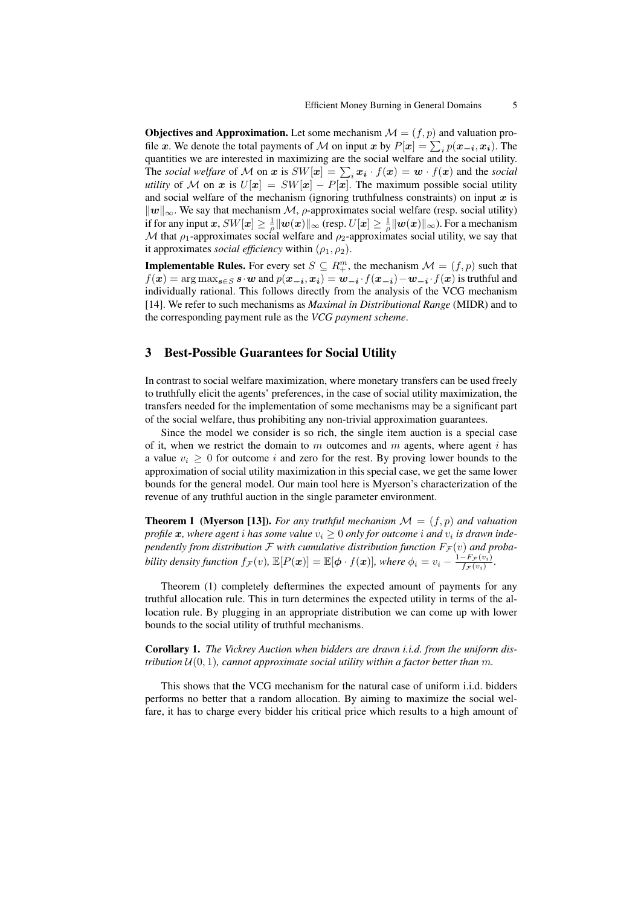**Objectives and Approximation.** Let some mechanism  $\mathcal{M} = (f, p)$  and valuation profile x. We denote the total payments of M on input x by  $P[x] = \sum_i p(\mathbf{x}_{-i}, \mathbf{x}_i)$ . The quantities we are interested in maximizing are the social welfare and the social utility. The *social welfare* of M on x is  $SW[x] = \sum_i x_i \cdot f(x) = w \cdot f(x)$  and the *social utility* of M on x is  $U[x] = SW[x] - P[x]$ . The maximum possible social utility and social welfare of the mechanism (ignoring truthfulness constraints) on input  $x$  is  $\|\boldsymbol{w}\|_{\infty}$ . We say that mechanism M,  $\rho$ -approximates social welfare (resp. social utility) if for any input  $x$ ,  $SW[\bm{x}] \geq \frac{1}{\rho} \|\bm{w}(\bm{x})\|_{\infty}$  (resp.  $U[\bm{x}] \geq \frac{1}{\rho} \|\bm{w}(\bm{x})\|_{\infty}$ ). For a mechanism M that  $\rho_1$ -approximates social welfare and  $\rho_2$ -approximates social utility, we say that it approximates *social efficiency* within  $(\rho_1, \rho_2)$ .

**Implementable Rules.** For every set  $S \subseteq R_+^m$ , the mechanism  $\mathcal{M} = (f, p)$  such that  $f(\bm{x}) = \arg\max_{\bm{s}\in S} \bm{s}\cdot\bm{w}$  and  $p(\bm{x}_{-\bm{i}},\bm{x}_{\bm{i}}) = \bm{w}_{-\bm{i}}\cdot f(\bm{x}_{-\bm{i}}) - \bm{w}_{-\bm{i}}\cdot f(\bm{x})$  is truthful and individually rational. This follows directly from the analysis of the VCG mechanism [14]. We refer to such mechanisms as *Maximal in Distributional Range* (MIDR) and to the corresponding payment rule as the *VCG payment scheme*.

## 3 Best-Possible Guarantees for Social Utility

In contrast to social welfare maximization, where monetary transfers can be used freely to truthfully elicit the agents' preferences, in the case of social utility maximization, the transfers needed for the implementation of some mechanisms may be a significant part of the social welfare, thus prohibiting any non-trivial approximation guarantees.

Since the model we consider is so rich, the single item auction is a special case of it, when we restrict the domain to m outcomes and m agents, where agent i has a value  $v_i \geq 0$  for outcome i and zero for the rest. By proving lower bounds to the approximation of social utility maximization in this special case, we get the same lower bounds for the general model. Our main tool here is Myerson's characterization of the revenue of any truthful auction in the single parameter environment.

**Theorem 1 (Myerson [13]).** For any truthful mechanism  $\mathcal{M} = (f, p)$  and valuation *profile*  $x$ *, where agent*  $i$  *has some value*  $v_i \geq 0$  *only for outcome*  $i$  *and*  $v_i$  *is drawn independently from distribution*  $\mathcal F$  *with cumulative distribution function*  $F_{\mathcal F}(v)$  *and probability density function*  $f_{\mathcal{F}}(v)$ ,  $\mathbb{E}[P(x)] = \mathbb{E}[\phi \cdot f(x)]$ , where  $\phi_i = v_i - \frac{1 - F_{\mathcal{F}}(v_i)}{f_{\mathcal{F}}(v_i)}$  $\frac{-F \mathcal{F}(v_i)}{f \mathcal{F}(v_i)}$ .

Theorem (1) completely deftermines the expected amount of payments for any truthful allocation rule. This in turn determines the expected utility in terms of the allocation rule. By plugging in an appropriate distribution we can come up with lower bounds to the social utility of truthful mechanisms.

Corollary 1. *The Vickrey Auction when bidders are drawn i.i.d. from the uniform distribution*  $U(0, 1)$ *, cannot approximate social utility within a factor better than m.* 

This shows that the VCG mechanism for the natural case of uniform i.i.d. bidders performs no better that a random allocation. By aiming to maximize the social welfare, it has to charge every bidder his critical price which results to a high amount of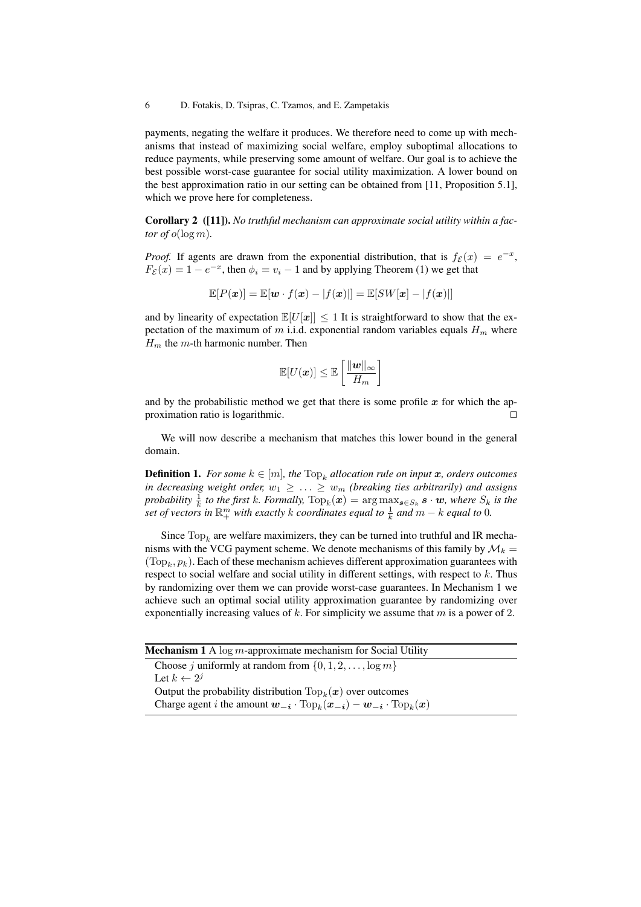payments, negating the welfare it produces. We therefore need to come up with mechanisms that instead of maximizing social welfare, employ suboptimal allocations to reduce payments, while preserving some amount of welfare. Our goal is to achieve the best possible worst-case guarantee for social utility maximization. A lower bound on the best approximation ratio in our setting can be obtained from [11, Proposition 5.1], which we prove here for completeness.

Corollary 2 ([11]). *No truthful mechanism can approximate social utility within a factor of* o(log m)*.*

*Proof.* If agents are drawn from the exponential distribution, that is  $f_{\mathcal{E}}(x) = e^{-x}$ ,  $F_{\mathcal{E}}(x) = 1 - e^{-x}$ , then  $\phi_i = v_i - 1$  and by applying Theorem (1) we get that

$$
\mathbb{E}[P(\boldsymbol{x})] = \mathbb{E}[\boldsymbol{w} \cdot f(\boldsymbol{x}) - |f(\boldsymbol{x})|] = \mathbb{E}[SW[\boldsymbol{x}] - |f(\boldsymbol{x})|]
$$

and by linearity of expectation  $\mathbb{E}[U[\mathbf{x}]]<1$  It is straightforward to show that the expectation of the maximum of m i.i.d. exponential random variables equals  $H_m$  where  $H_m$  the m-th harmonic number. Then

$$
\mathbb{E}[U(\boldsymbol{x})] \leq \mathbb{E}\left[\frac{\|\boldsymbol{w}\|_{\infty}}{H_m}\right]
$$

and by the probabilistic method we get that there is some profile  $x$  for which the approximation ratio is logarithmic.  $\Box$ 

We will now describe a mechanism that matches this lower bound in the general domain.

**Definition 1.** For some  $k \in [m]$ , the  $\text{Top}_k$  allocation rule on input x, orders outcomes *in decreasing weight order,*  $w_1 \geq \ldots \geq w_m$  *(breaking ties arbitrarily) and assigns probability*  $\frac{1}{k}$  *to the first* k*. Formally,*  $\text{Top}_k(\bm{x}) = \arg \max_{\bm{s} \in S_k} \bm{s} \cdot \bm{w}$ *, where*  $S_k$  *is the set of vectors in*  $\mathbb{R}^m_+$  *with exactly k coordinates equal to*  $\frac{1}{k}$  *and*  $m - k$  *equal to* 0*.* 

Since  $Top_k$  are welfare maximizers, they can be turned into truthful and IR mechanisms with the VCG payment scheme. We denote mechanisms of this family by  $\mathcal{M}_k =$  $(Top_k, p_k)$ . Each of these mechanism achieves different approximation guarantees with respect to social welfare and social utility in different settings, with respect to  $k$ . Thus by randomizing over them we can provide worst-case guarantees. In Mechanism 1 we achieve such an optimal social utility approximation guarantee by randomizing over exponentially increasing values of k. For simplicity we assume that m is a power of 2.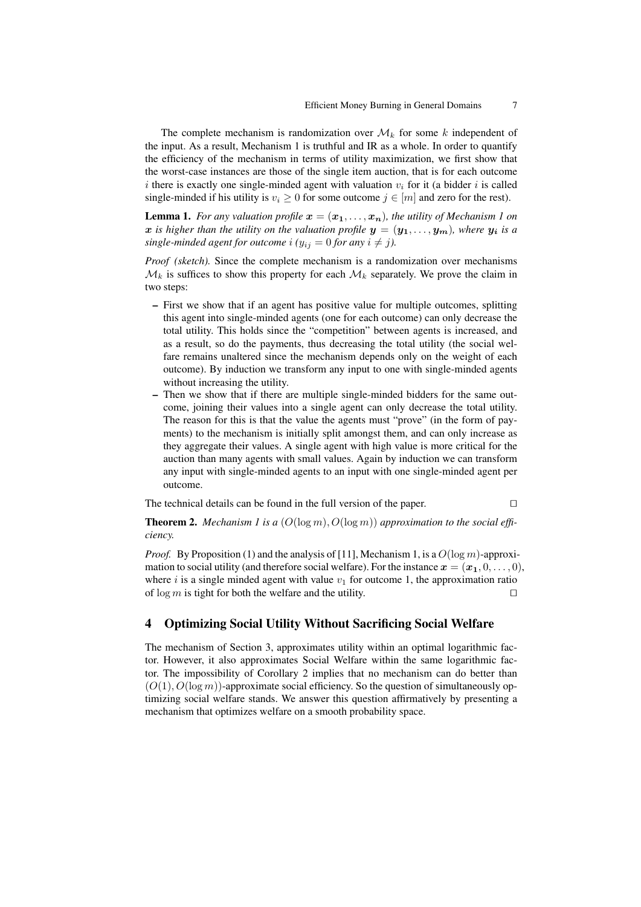The complete mechanism is randomization over  $\mathcal{M}_k$  for some k independent of the input. As a result, Mechanism 1 is truthful and IR as a whole. In order to quantify the efficiency of the mechanism in terms of utility maximization, we first show that the worst-case instances are those of the single item auction, that is for each outcome i there is exactly one single-minded agent with valuation  $v_i$  for it (a bidder i is called single-minded if his utility is  $v_i \geq 0$  for some outcome  $j \in [m]$  and zero for the rest).

**Lemma 1.** *For any valuation profile*  $x = (x_1, \ldots, x_n)$ *, the utility of Mechanism 1 on* x is higher than the utility on the valuation profile  $y = (y_1, \ldots, y_m)$ , where  $y_i$  is a *single-minded agent for outcome*  $i (y_{ij} = 0$  *for any*  $i \neq j$ *).* 

*Proof (sketch).* Since the complete mechanism is a randomization over mechanisms  $\mathcal{M}_k$  is suffices to show this property for each  $\mathcal{M}_k$  separately. We prove the claim in two steps:

- First we show that if an agent has positive value for multiple outcomes, splitting this agent into single-minded agents (one for each outcome) can only decrease the total utility. This holds since the "competition" between agents is increased, and as a result, so do the payments, thus decreasing the total utility (the social welfare remains unaltered since the mechanism depends only on the weight of each outcome). By induction we transform any input to one with single-minded agents without increasing the utility.
- Then we show that if there are multiple single-minded bidders for the same outcome, joining their values into a single agent can only decrease the total utility. The reason for this is that the value the agents must "prove" (in the form of payments) to the mechanism is initially split amongst them, and can only increase as they aggregate their values. A single agent with high value is more critical for the auction than many agents with small values. Again by induction we can transform any input with single-minded agents to an input with one single-minded agent per outcome.

The technical details can be found in the full version of the paper.  $\Box$ 

**Theorem 2.** Mechanism 1 is a  $(O(\log m), O(\log m))$  approximation to the social effi*ciency.*

*Proof.* By Proposition (1) and the analysis of [11], Mechanism 1, is a  $O(\log m)$ -approximation to social utility (and therefore social welfare). For the instance  $x = (x_1, 0, \ldots, 0)$ , where i is a single minded agent with value  $v_1$  for outcome 1, the approximation ratio of  $\log m$  is tight for both the welfare and the utility.

# 4 Optimizing Social Utility Without Sacrificing Social Welfare

The mechanism of Section 3, approximates utility within an optimal logarithmic factor. However, it also approximates Social Welfare within the same logarithmic factor. The impossibility of Corollary 2 implies that no mechanism can do better than  $(O(1), O(\log m))$ -approximate social efficiency. So the question of simultaneously optimizing social welfare stands. We answer this question affirmatively by presenting a mechanism that optimizes welfare on a smooth probability space.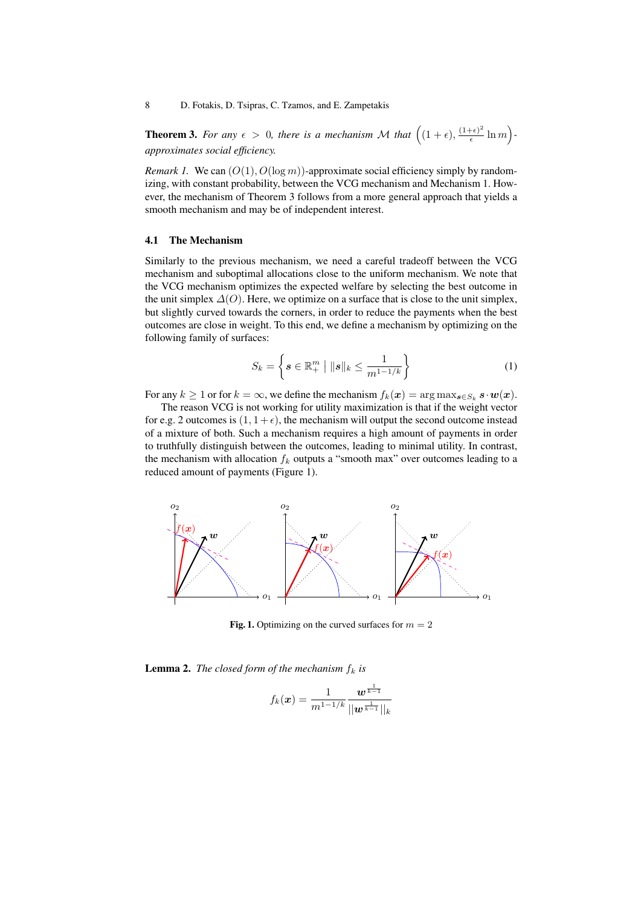**Theorem 3.** For any  $\epsilon > 0$ , there is a mechanism M that  $\left((1+\epsilon), \frac{(1+\epsilon)^2}{\epsilon}\right)$  $\frac{1+\epsilon)^2}{\epsilon} \ln m$ . *approximates social efficiency.*

*Remark 1.* We can  $(O(1), O(\log m))$ -approximate social efficiency simply by randomizing, with constant probability, between the VCG mechanism and Mechanism 1. However, the mechanism of Theorem 3 follows from a more general approach that yields a smooth mechanism and may be of independent interest.

#### 4.1 The Mechanism

Similarly to the previous mechanism, we need a careful tradeoff between the VCG mechanism and suboptimal allocations close to the uniform mechanism. We note that the VCG mechanism optimizes the expected welfare by selecting the best outcome in the unit simplex  $\Delta(O)$ . Here, we optimize on a surface that is close to the unit simplex, but slightly curved towards the corners, in order to reduce the payments when the best outcomes are close in weight. To this end, we define a mechanism by optimizing on the following family of surfaces:

$$
S_k = \left\{ \boldsymbol{s} \in \mathbb{R}_+^m \mid \|\boldsymbol{s}\|_k \le \frac{1}{m^{1-1/k}} \right\} \tag{1}
$$

For any  $k \ge 1$  or for  $k = \infty$ , we define the mechanism  $f_k(x) = \arg \max_{s \in S_k} s \cdot w(x)$ .

The reason VCG is not working for utility maximization is that if the weight vector for e.g. 2 outcomes is  $(1, 1 + \epsilon)$ , the mechanism will output the second outcome instead of a mixture of both. Such a mechanism requires a high amount of payments in order to truthfully distinguish between the outcomes, leading to minimal utility. In contrast, the mechanism with allocation  $f_k$  outputs a "smooth max" over outcomes leading to a reduced amount of payments (Figure 1).



Fig. 1. Optimizing on the curved surfaces for  $m = 2$ 

**Lemma 2.** *The closed form of the mechanism*  $f_k$  *is* 

$$
f_k(\bm{x}) = \frac{1}{m^{1-1/k}} \frac{\bm{w}^{\frac{1}{k-1}}}{||\bm{w}^{\frac{1}{k-1}}||_k}
$$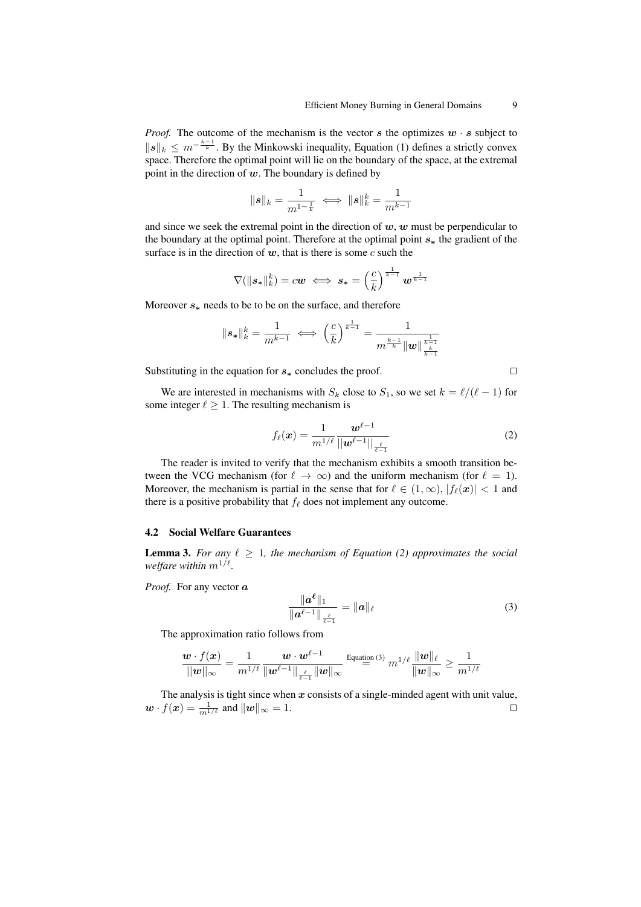*Proof.* The outcome of the mechanism is the vector s the optimizes  $w \cdot s$  subject to  $||s||_k \leq m^{-\frac{k-1}{k}}$ . By the Minkowski inequality, Equation (1) defines a strictly convex space. Therefore the optimal point will lie on the boundary of the space, at the extremal point in the direction of  $w$ . The boundary is defined by

$$
\|\pmb{s}\|_{k}=\frac{1}{m^{1-\frac{1}{k}}}\iff \|\pmb{s}\|_{k}^{k}=\frac{1}{m^{k-1}}
$$

and since we seek the extremal point in the direction of  $w, w$  must be perpendicular to the boundary at the optimal point. Therefore at the optimal point  $s_*$  the gradient of the surface is in the direction of  $w$ , that is there is some  $c$  such the

$$
\nabla(\|\boldsymbol{s_*}\|_k^k) = c \boldsymbol{w} \iff \boldsymbol{s_*} = \left(\frac{c}{k}\right)^{\frac{1}{k-1}} \boldsymbol{w}^{\frac{1}{k-1}}
$$

Moreover  $s_*$  needs to be to be on the surface, and therefore

$$
\|s_*\|_k^k = \frac{1}{m^{k-1}} \iff \left(\frac{c}{k}\right)^{\frac{1}{k-1}} = \frac{1}{m^{\frac{k-1}{k}}\|\pmb{w}\|_{\frac{k}{k-1}}^{\frac{1}{k-1}}}
$$

Substituting in the equation for  $s_*$  concludes the proof.  $\Box$ 

We are interested in mechanisms with  $S_k$  close to  $S_1$ , so we set  $k = \ell/(\ell - 1)$  for some integer  $\ell \geq 1$ . The resulting mechanism is

$$
f_{\ell}(\boldsymbol{x}) = \frac{1}{m^{1/\ell}} \frac{\boldsymbol{w}^{\ell-1}}{||\boldsymbol{w}^{\ell-1}||_{\ell}\frac{\ell}{\ell-1}} \tag{2}
$$

The reader is invited to verify that the mechanism exhibits a smooth transition between the VCG mechanism (for  $\ell \to \infty$ ) and the uniform mechanism (for  $\ell = 1$ ). Moreover, the mechanism is partial in the sense that for  $\ell \in (1, \infty)$ ,  $|f_{\ell}(x)| < 1$  and there is a positive probability that  $f_\ell$  does not implement any outcome.

#### 4.2 Social Welfare Guarantees

**Lemma 3.** *For any*  $\ell \geq 1$ , *the mechanism of Equation (2) approximates the social* welfare within  $m^{1/\ell}$ .

*Proof.* For any vector  $\boldsymbol{a}$ 

$$
\frac{\|a^{\ell}\|_1}{\|a^{\ell-1}\|_{\frac{\ell}{\ell-1}}} = \|a\|_{\ell} \tag{3}
$$

The approximation ratio follows from

$$
\frac{\bm{w} \cdot f(\bm{x})}{||\bm{w}||_{\infty}} = \frac{1}{m^{1/\ell}} \frac{\bm{w} \cdot \bm{w}^{\ell-1}}{||\bm{w}^{\ell-1}||_{\frac{\ell}{\ell-1}} ||\bm{w}||_{\infty}} \stackrel{\text{Equation (3)}}{=} m^{1/\ell} \frac{||\bm{w}||_{\ell}}{||\bm{w}||_{\infty}} \ge \frac{1}{m^{1/\ell}}
$$

The analysis is tight since when  $x$  consists of a single-minded agent with unit value,  $\mathbf{w} \cdot f(\mathbf{x}) = \frac{1}{m^{1/\ell}}$  and  $\|\mathbf{w}\|_{\infty} = 1$ .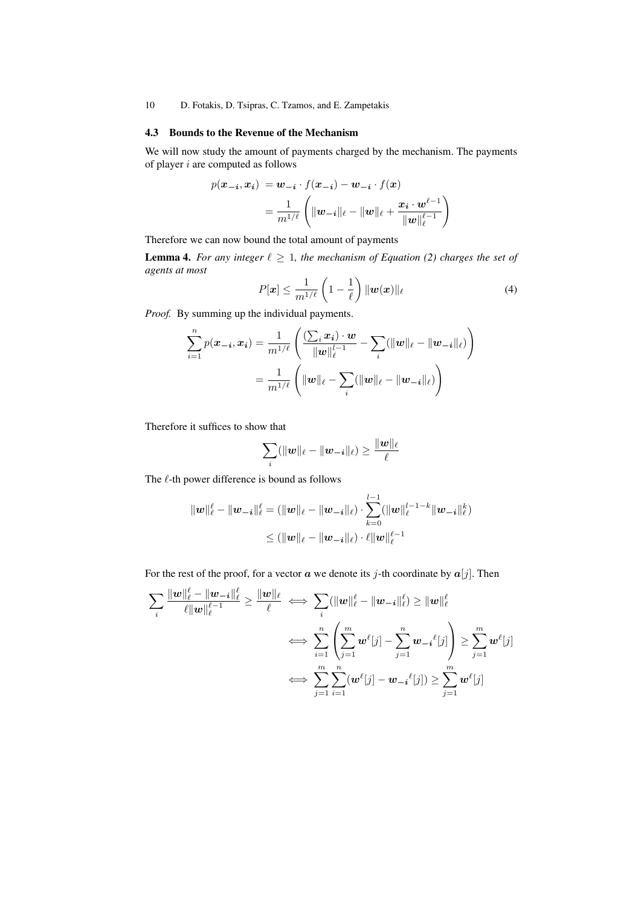## 4.3 Bounds to the Revenue of the Mechanism

We will now study the amount of payments charged by the mechanism. The payments of player  $i$  are computed as follows

$$
p(\mathbf{x}_{-i}, \mathbf{x}_{i}) = \mathbf{w}_{-i} \cdot f(\mathbf{x}_{-i}) - \mathbf{w}_{-i} \cdot f(\mathbf{x})
$$
  
= 
$$
\frac{1}{m^{1/\ell}} \left( \|\mathbf{w}_{-i}\|_{\ell} - \|\mathbf{w}\|_{\ell} + \frac{\mathbf{x}_{i} \cdot \mathbf{w}^{\ell-1}}{\|\mathbf{w}\|_{\ell}^{\ell-1}} \right)
$$

Therefore we can now bound the total amount of payments

**Lemma 4.** *For any integer*  $\ell \geq 1$ *, the mechanism of Equation (2) charges the set of agents at most*

$$
P[\boldsymbol{x}] \leq \frac{1}{m^{1/\ell}} \left(1 - \frac{1}{\ell}\right) \|\boldsymbol{w}(\boldsymbol{x})\|_{\ell} \tag{4}
$$

*Proof.* By summing up the individual payments.

$$
\sum_{i=1}^{n} p(\boldsymbol{x}_{-i}, \boldsymbol{x}_{i}) = \frac{1}{m^{1/\ell}} \left( \frac{\left( \sum_{i} \boldsymbol{x}_{i} \right) \cdot \boldsymbol{w}}{\|\boldsymbol{w}\|_{\ell}^{l-1}} - \sum_{i} (\|\boldsymbol{w}\|_{\ell} - \|\boldsymbol{w}_{-i}\|_{\ell}) \right)
$$

$$
= \frac{1}{m^{1/\ell}} \left( \|\boldsymbol{w}\|_{\ell} - \sum_{i} (\|\boldsymbol{w}\|_{\ell} - \|\boldsymbol{w}_{-i}\|_{\ell}) \right)
$$

Therefore it suffices to show that

$$
\sum_i (||w||_{\ell} - ||w_{-i}||_{\ell}) \ge \frac{||w||_{\ell}}{\ell}
$$

The  $\ell$ -th power difference is bound as follows

$$
\|w\|_{\ell}^{\ell} - \|w_{-i}\|_{\ell}^{\ell} = (\|w\|_{\ell} - \|w_{-i}\|_{\ell}) \cdot \sum_{k=0}^{l-1} (||w||_{\ell}^{l-1-k} \|w_{-i}\|_{\ell}^{k})
$$
  

$$
\leq (||w||_{\ell} - \|w_{-i}\|_{\ell}) \cdot \ell ||w\|_{\ell}^{\ell-1}
$$

For the rest of the proof, for a vector  $\boldsymbol{a}$  we denote its j-th coordinate by  $\boldsymbol{a}[j]$ . Then

$$
\sum_i \frac{\|\boldsymbol{w}\|_{\ell}^{\ell} - \|\boldsymbol{w}_{-i}\|_{\ell}^{\ell}}{\ell \|\boldsymbol{w}\|_{\ell}^{\ell-1}} \geq \frac{\|\boldsymbol{w}\|_{\ell}}{\ell} \iff \sum_i (\|\boldsymbol{w}\|_{\ell}^{\ell} - \|\boldsymbol{w}_{-i}\|_{\ell}^{\ell}) \geq \|\boldsymbol{w}\|_{\ell}^{\ell}
$$
\n
$$
\iff \sum_{i=1}^n \left( \sum_{j=1}^m \boldsymbol{w}^{\ell}[j] - \sum_{j=1}^n \boldsymbol{w}_{-i}^{\ell}[j] \right) \geq \sum_{j=1}^m \boldsymbol{w}^{\ell}[j]
$$
\n
$$
\iff \sum_{j=1}^m \sum_{i=1}^n (\boldsymbol{w}^{\ell}[j] - \boldsymbol{w}_{-i}^{\ell}[j]) \geq \sum_{j=1}^m \boldsymbol{w}^{\ell}[j]
$$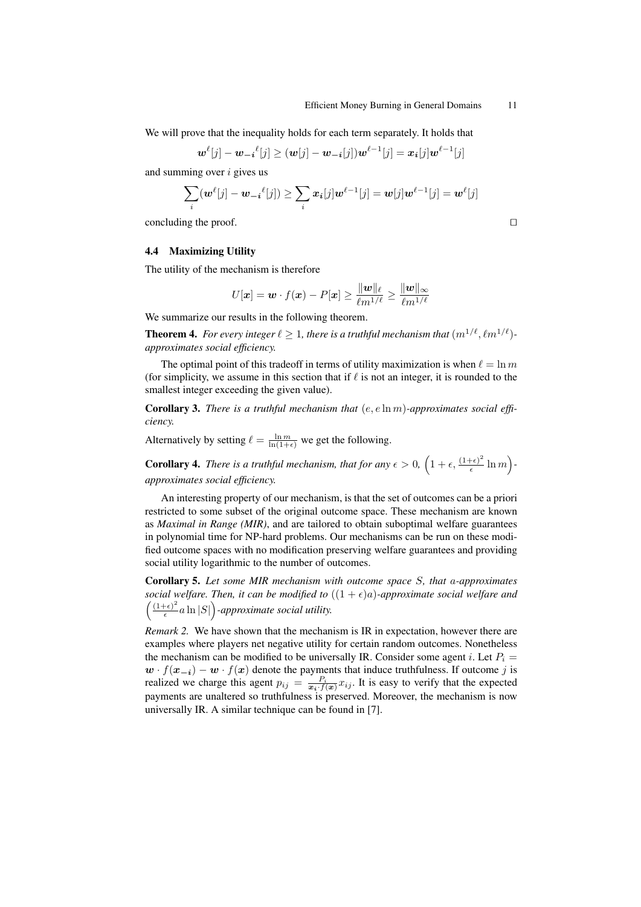We will prove that the inequality holds for each term separately. It holds that

$$
\bm{w}^{\ell}[j] - \bm{w}_{-\bm{i}}{}^{\ell}[j] \geq (\bm{w}[j] - \bm{w}_{-\bm{i}}[j])\bm{w}^{\ell-1}[j] = \bm{x}_{\bm{i}}[j]\bm{w}^{\ell-1}[j]
$$

and summing over  $i$  gives us

$$
\sum_i (\mathbf{w}^{\ell}[j] - \mathbf{w}_{-i}{}^{\ell}[j]) \ge \sum_i \mathbf{x}_i[j] \mathbf{w}^{\ell-1}[j] = \mathbf{w}[j] \mathbf{w}^{\ell-1}[j] = \mathbf{w}^{\ell}[j]
$$

concluding the proof.  $\Box$ 

### 4.4 Maximizing Utility

The utility of the mechanism is therefore

$$
U[\boldsymbol{x}] = \boldsymbol{w} \cdot f(\boldsymbol{x}) - P[\boldsymbol{x}] \geq \frac{\|\boldsymbol{w}\|_{\ell}}{\ell m^{1/\ell}} \geq \frac{\|\boldsymbol{w}\|_{\infty}}{\ell m^{1/\ell}}
$$

We summarize our results in the following theorem.

**Theorem 4.** *For every integer*  $\ell \geq 1$ *, there is a truthful mechanism that*  $(m^{1/\ell}, \ell m^{1/\ell})$ *approximates social efficiency.*

The optimal point of this tradeoff in terms of utility maximization is when  $\ell = \ln m$ (for simplicity, we assume in this section that if  $\ell$  is not an integer, it is rounded to the smallest integer exceeding the given value).

Corollary 3. *There is a truthful mechanism that* (e, e ln m)*-approximates social efficiency.*

Alternatively by setting  $\ell = \frac{\ln m}{\ln(1+\epsilon)}$  we get the following.

**Corollary 4.** There is a truthful mechanism, that for any  $\epsilon > 0$ ,  $\left(1 + \epsilon, \frac{(1+\epsilon)^2}{\epsilon}\right)$  $\frac{1+\epsilon)^2}{\epsilon} \ln m$ . *approximates social efficiency.*

An interesting property of our mechanism, is that the set of outcomes can be a priori restricted to some subset of the original outcome space. These mechanism are known as *Maximal in Range (MIR)*, and are tailored to obtain suboptimal welfare guarantees in polynomial time for NP-hard problems. Our mechanisms can be run on these modified outcome spaces with no modification preserving welfare guarantees and providing social utility logarithmic to the number of outcomes.

Corollary 5. *Let some MIR mechanism with outcome space* S*, that* a*-approximates social welfare. Then, it can be modified to*  $((1 + \epsilon)a)$ *-approximate social welfare and*  $\left( \frac{(1+\epsilon)^2}{\epsilon} \right)$  $\frac{1+\epsilon)^2}{\epsilon}a\ln|S|\Big)$ -approximate social utility.

*Remark 2.* We have shown that the mechanism is IR in expectation, however there are examples where players net negative utility for certain random outcomes. Nonetheless the mechanism can be modified to be universally IR. Consider some agent i. Let  $P_i$  =  $w \cdot f(x_{-i}) - w \cdot f(x)$  denote the payments that induce truthfulness. If outcome j is realized we charge this agent  $p_{ij} = \frac{P_i}{x_i \cdot f(x)} x_{ij}$ . It is easy to verify that the expected payments are unaltered so truthfulness is preserved. Moreover, the mechanism is now universally IR. A similar technique can be found in [7].